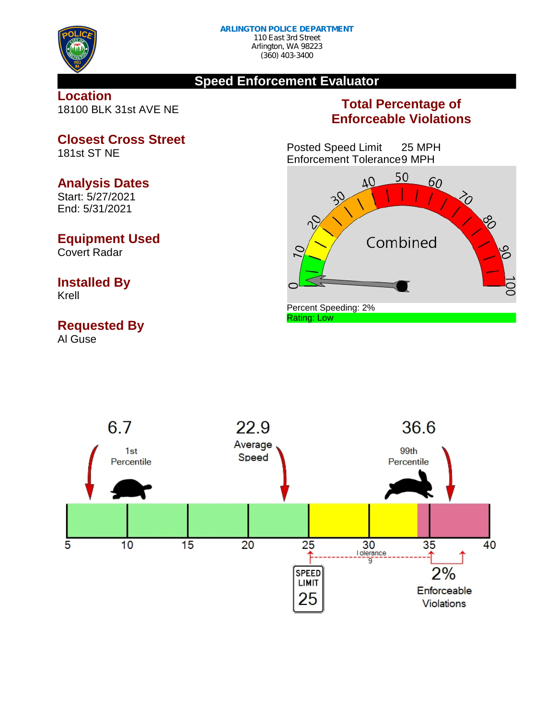

# **Speed Enforcement Evaluator**

### **Location** 18100 BLK 31st AVE NE

# **Total Percentage of Enforceable Violations**

Posted Speed Limit 25 MPH Enforcement Tolerance9 MPH





# **Closest Cross Street**

181st ST NE

# **Analysis Dates**

Start: 5/27/2021 End: 5/31/2021

# **Equipment Used**

Covert Radar

# **Installed By**

Krell

# **Requested By**

Al Guse